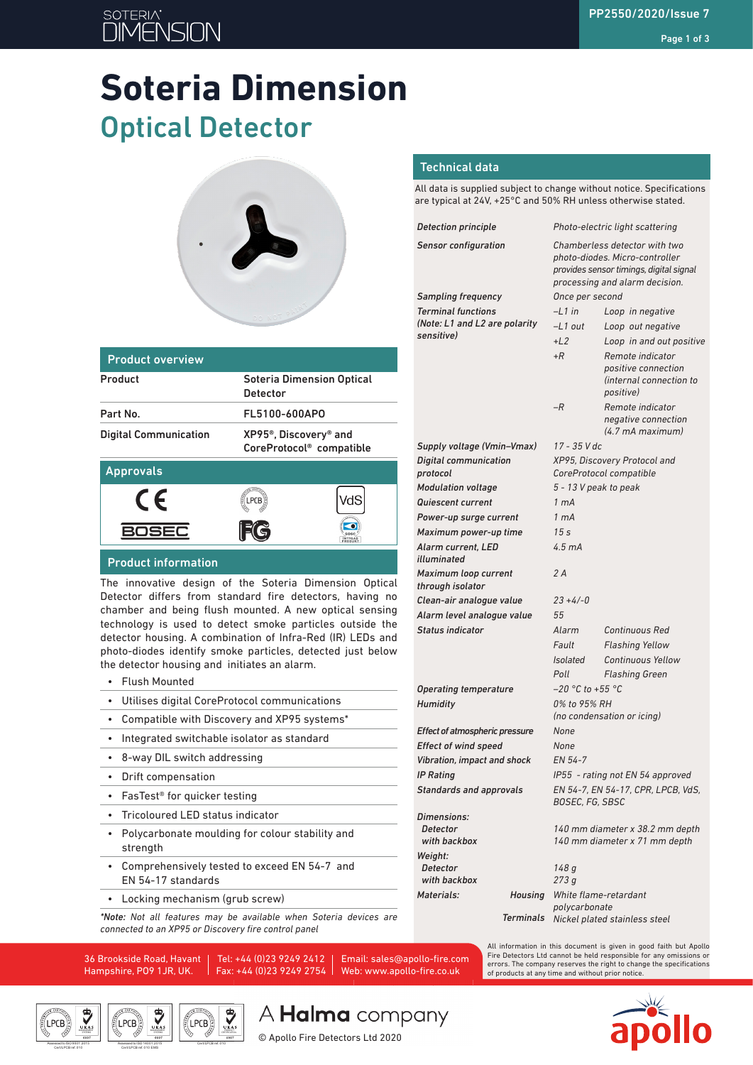# **SOTERIA** ור

# **Soteria Dimension** Optical Detector



| <b>Product overview</b>      |                                                                                        |
|------------------------------|----------------------------------------------------------------------------------------|
| Product                      | <b>Soteria Dimension Optical</b><br><b>Detector</b>                                    |
| Part No.                     | FL5100-600APO                                                                          |
| <b>Digital Communication</b> | XP95 <sup>®</sup> , Discovery <sup>®</sup> and<br>CoreProtocol <sup>®</sup> compatible |
| <b>Approvals</b>             |                                                                                        |



#### Product information

The innovative design of the Soteria Dimension Optical Detector differs from standard fire detectors, having no chamber and being flush mounted. A new optical sensing technology is used to detect smoke particles outside the detector housing. A combination of Infra-Red (IR) LEDs and photo-diodes identify smoke particles, detected just below the detector housing and initiates an alarm.

- Flush Mounted
- Utilises digital CoreProtocol communications
- Compatible with Discovery and XP95 systems\*
- Integrated switchable isolator as standard
- 8-way DIL switch addressing
- Drift compensation
- FasTest® for quicker testing
- Tricoloured LED status indicator
- Polycarbonate moulding for colour stability and strength
- Comprehensively tested to exceed EN 54-7 and EN 54-17 standards
- Locking mechanism (grub screw)

*\*Note: Not all features may be available when Soteria devices are connected to an XP95 or Discovery fire control panel*

36 Brookside Road, Havant Hampshire, PO9 1JR, UK.

Cert/LPCB ref. 010 EMS

 $(\mathsf{LPCB})$ 

Tel: +44 (0)23 9249 2412 Fax: +44 (0)23 9249 2754 Email: sales@apollo-fire.com Web: www.apollo-fire.co.uk

© Apollo Fire Detectors Ltd 2020

#### All data is supplied subject to change without notice. Specifications are typical at 24V, +25°C and 50% RH unless otherwise stated.

Technical data

| <b>Detection principle</b>                            | Photo-electric light scattering                                                                                                              |                                                                                         |  |  |
|-------------------------------------------------------|----------------------------------------------------------------------------------------------------------------------------------------------|-----------------------------------------------------------------------------------------|--|--|
| <b>Sensor configuration</b>                           | Chamberless detector with two<br>photo-diodes. Micro-controller<br>provides sensor timings, digital signal<br>processing and alarm decision. |                                                                                         |  |  |
| <b>Sampling frequency</b>                             | Once per second                                                                                                                              |                                                                                         |  |  |
| <b>Terminal functions</b>                             | $-L1$ in<br>Loop in negative                                                                                                                 |                                                                                         |  |  |
| (Note: L1 and L2 are polarity                         | -L1 out                                                                                                                                      | Loop out negative                                                                       |  |  |
| sensitive)                                            | $+L2$                                                                                                                                        | Loop in and out positive                                                                |  |  |
|                                                       | $+R$                                                                                                                                         | Remote indicator<br>positive connection<br>(internal connection to<br><i>positive</i> ) |  |  |
|                                                       | $-R$                                                                                                                                         | Remote indicator<br>negative connection<br>(4.7 mA maximum)                             |  |  |
| Supply voltage (Vmin-Vmax)                            | 17 - 35 V dc                                                                                                                                 |                                                                                         |  |  |
| <b>Digital communication</b><br>protocol              | XP95, Discovery Protocol and<br>CoreProtocol compatible                                                                                      |                                                                                         |  |  |
| <b>Modulation voltage</b>                             | 5 - 13 V peak to peak                                                                                                                        |                                                                                         |  |  |
| <b>Quiescent current</b>                              | 1 <sub>mA</sub>                                                                                                                              |                                                                                         |  |  |
| Power-up surge current                                | 1 <sub>mA</sub>                                                                                                                              |                                                                                         |  |  |
| Maximum power-up time                                 | 15s                                                                                                                                          |                                                                                         |  |  |
| Alarm current, LED<br>illuminated                     | 4.5 <sub>mA</sub>                                                                                                                            |                                                                                         |  |  |
| Maximum loop current<br>through isolator              | 2 A                                                                                                                                          |                                                                                         |  |  |
| Clean-air analogue value                              | $23 + 4/-0$                                                                                                                                  |                                                                                         |  |  |
| Alarm level analogue value                            | 55                                                                                                                                           |                                                                                         |  |  |
| <b>Status indicator</b>                               | Alarm                                                                                                                                        | <b>Continuous Red</b>                                                                   |  |  |
|                                                       | Fault                                                                                                                                        | <b>Flashing Yellow</b>                                                                  |  |  |
|                                                       | <i>Isolated</i>                                                                                                                              | <b>Continuous Yellow</b>                                                                |  |  |
|                                                       | Poll                                                                                                                                         | <b>Flashing Green</b>                                                                   |  |  |
| <b>Operating temperature</b>                          | $-20$ °C to +55 °C                                                                                                                           |                                                                                         |  |  |
| <b>Humidity</b>                                       | 0% to 95% RH<br>(no condensation or icing)                                                                                                   |                                                                                         |  |  |
| Effect of atmospheric pressure                        | None                                                                                                                                         |                                                                                         |  |  |
| <b>Effect of wind speed</b>                           | None                                                                                                                                         |                                                                                         |  |  |
| Vibration, impact and shock                           | EN 54-7                                                                                                                                      |                                                                                         |  |  |
| <b>IP Rating</b>                                      | IP55 - rating not EN 54 approved                                                                                                             |                                                                                         |  |  |
| <b>Standards and approvals</b>                        | EN 54-7, EN 54-17, CPR, LPCB, VdS,<br><b>BOSEC, FG, SBSC</b>                                                                                 |                                                                                         |  |  |
| <b>Dimensions:</b><br><b>Detector</b><br>with backbox | 140 mm diameter x 38.2 mm depth<br>140 mm diameter x 71 mm depth                                                                             |                                                                                         |  |  |
| Weight:                                               |                                                                                                                                              |                                                                                         |  |  |
| <b>Detector</b><br>with backbox                       | 148 g<br>273g                                                                                                                                |                                                                                         |  |  |
| Materials:<br><b>Housing</b>                          | White flame-retardant                                                                                                                        |                                                                                         |  |  |
|                                                       | polycarbonate                                                                                                                                |                                                                                         |  |  |
| Terminals                                             |                                                                                                                                              | Nickel plated stainless steel                                                           |  |  |

All information in this document is given in good faith but Apollo Fire Detectors Ltd cannot be held responsible for any omissions or errors. The company reserves the right to change the specifications



Cert/LPCB ref. 010



A **Halma** company

of products at any time and without prior notice.

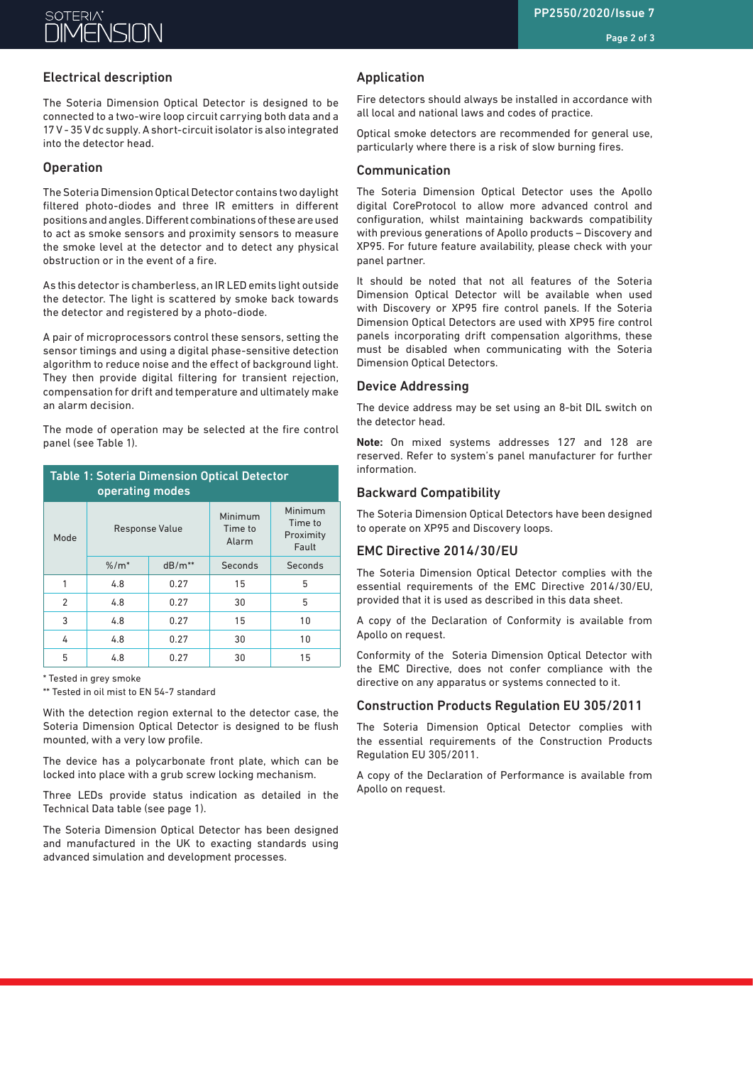# Electrical description

The Soteria Dimension Optical Detector is designed to be connected to a two-wire loop circuit carrying both data and a 17 V - 35 V dc supply. A short-circuit isolator is also integrated into the detector head.

# Operation

The Soteria Dimension Optical Detector contains two daylight filtered photo-diodes and three IR emitters in different positions and angles. Different combinations of these are used to act as smoke sensors and proximity sensors to measure the smoke level at the detector and to detect any physical obstruction or in the event of a fire.

As this detector is chamberless, an IR LED emits light outside the detector. The light is scattered by smoke back towards the detector and registered by a photo-diode.

A pair of microprocessors control these sensors, setting the sensor timings and using a digital phase-sensitive detection algorithm to reduce noise and the effect of background light. They then provide digital filtering for transient rejection, compensation for drift and temperature and ultimately make an alarm decision.

The mode of operation may be selected at the fire control panel (see Table 1).

| <b>Table 1: Soteria Dimension Optical Detector</b><br>operating modes |                       |          |                             |                                          |  |
|-----------------------------------------------------------------------|-----------------------|----------|-----------------------------|------------------------------------------|--|
| Mode                                                                  | <b>Response Value</b> |          | Minimum<br>Time to<br>Alarm | Minimum<br>Time to<br>Proximity<br>Fault |  |
|                                                                       | $% / m*$              | $dB/m**$ | Seconds                     | Seconds                                  |  |
| 1                                                                     | 4.8                   | 0.27     | 15                          | 5                                        |  |
| 2                                                                     | 4.8                   | 0.27     | 30                          | 5                                        |  |
| 3                                                                     | 4.8                   | 0.27     | 15                          | 10                                       |  |
| 4                                                                     | 4.8                   | 0.27     | 30                          | 10                                       |  |
| 5                                                                     | 4.8                   | 0.27     | 30                          | 15                                       |  |

\* Tested in grey smoke

\*\* Tested in oil mist to EN 54-7 standard

With the detection region external to the detector case, the Soteria Dimension Optical Detector is designed to be flush mounted, with a very low profile.

The device has a polycarbonate front plate, which can be locked into place with a grub screw locking mechanism.

Three LEDs provide status indication as detailed in the Technical Data table (see page 1).

The Soteria Dimension Optical Detector has been designed and manufactured in the UK to exacting standards using advanced simulation and development processes.

### Application

Fire detectors should always be installed in accordance with all local and national laws and codes of practice.

Optical smoke detectors are recommended for general use, particularly where there is a risk of slow burning fires.

#### Communication

The Soteria Dimension Optical Detector uses the Apollo digital CoreProtocol to allow more advanced control and configuration, whilst maintaining backwards compatibility with previous generations of Apollo products – Discovery and XP95. For future feature availability, please check with your panel partner.

It should be noted that not all features of the Soteria Dimension Optical Detector will be available when used with Discovery or XP95 fire control panels. If the Soteria Dimension Optical Detectors are used with XP95 fire control panels incorporating drift compensation algorithms, these must be disabled when communicating with the Soteria Dimension Optical Detectors.

#### Device Addressing

The device address may be set using an 8-bit DIL switch on the detector head.

**Note:** On mixed systems addresses 127 and 128 are reserved. Refer to system's panel manufacturer for further information.

#### Backward Compatibility

The Soteria Dimension Optical Detectors have been designed to operate on XP95 and Discovery loops.

### EMC Directive 2014/30/EU

The Soteria Dimension Optical Detector complies with the essential requirements of the EMC Directive 2014/30/EU, provided that it is used as described in this data sheet.

A copy of the Declaration of Conformity is available from Apollo on request.

Conformity of the Soteria Dimension Optical Detector with the EMC Directive, does not confer compliance with the directive on any apparatus or systems connected to it.

#### Construction Products Regulation EU 305/2011

The Soteria Dimension Optical Detector complies with the essential requirements of the Construction Products Regulation EU 305/2011.

A copy of the Declaration of Performance is available from Apollo on request.